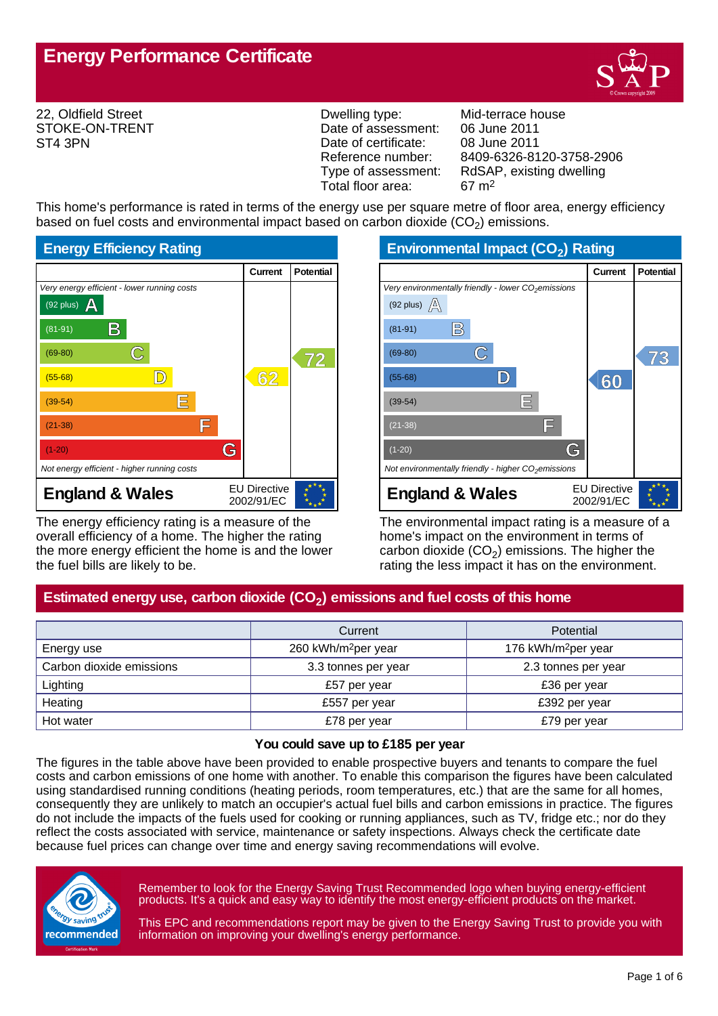

22, Oldfield Street STOKE-ON-TRENT ST4 3PN

Dwelling type: Mid-terrace house Date of assessment: 06 June 2011<br>Date of certificate: 08 June 2011 Date of certificate:<br>Reference number: Total floor area: 67 m2

Reference number: 8409-6326-8120-3758-2906<br>Type of assessment: RdSAP, existing dwelling RdSAP, existing dwelling

This home's performance is rated in terms of the energy use per square metre of floor area, energy efficiency based on fuel costs and environmental impact based on carbon dioxide (CO<sub>2</sub>) emissions.



The energy efficiency rating is a measure of the overall efficiency of a home. The higher the rating the more energy efficient the home is and the lower the fuel bills are likely to be.

**Environmental Impact (CO<sup>2</sup> ) Rating**

|                                                                 | Current                           | <b>Potential</b> |
|-----------------------------------------------------------------|-----------------------------------|------------------|
| Very environmentally friendly - lower CO <sub>2</sub> emissions |                                   |                  |
| (92 plus) $\mathbb{A}$                                          |                                   |                  |
| B<br>$(81-91)$                                                  |                                   |                  |
| $(69-80)$                                                       |                                   |                  |
| $(55-68)$                                                       | 60                                |                  |
| Ε<br>$(39-54)$                                                  |                                   |                  |
| IΞ<br>$(21-38)$                                                 |                                   |                  |
| G<br>$(1-20)$                                                   |                                   |                  |
| Not environmentally friendly - higher CO <sub>2</sub> emissions |                                   |                  |
| <b>England &amp; Wales</b>                                      | <b>EU Directive</b><br>2002/91/EC |                  |

The environmental impact rating is a measure of a home's impact on the environment in terms of carbon dioxide (CO<sub>2</sub>) emissions. The higher the rating the less impact it has on the environment.

# **Estimated energy use, carbon dioxide (CO<sup>2</sup> ) emissions and fuel costs of this home**

|                          | Current                         | Potential                       |  |
|--------------------------|---------------------------------|---------------------------------|--|
| Energy use               | 260 kWh/m <sup>2</sup> per year | 176 kWh/m <sup>2</sup> per year |  |
| Carbon dioxide emissions | 3.3 tonnes per year             | 2.3 tonnes per year             |  |
| Lighting                 | £57 per year                    | £36 per year                    |  |
| Heating                  | £557 per year                   | £392 per year                   |  |
| Hot water                | £78 per year                    | £79 per year                    |  |

#### **You could save up to £185 per year**

The figures in the table above have been provided to enable prospective buyers and tenants to compare the fuel costs and carbon emissions of one home with another. To enable this comparison the figures have been calculated using standardised running conditions (heating periods, room temperatures, etc.) that are the same for all homes, consequently they are unlikely to match an occupier's actual fuel bills and carbon emissions in practice. The figures do not include the impacts of the fuels used for cooking or running appliances, such as TV, fridge etc.; nor do they reflect the costs associated with service, maintenance or safety inspections. Always check the certificate date because fuel prices can change over time and energy saving recommendations will evolve.



Remember to look for the Energy Saving Trust Recommended logo when buying energy-efficient products. It's a quick and easy way to identify the most energy-efficient products on the market.

This EPC and recommendations report may be given to the Energy Saving Trust to provide you with information on improving your dwelling's energy performance.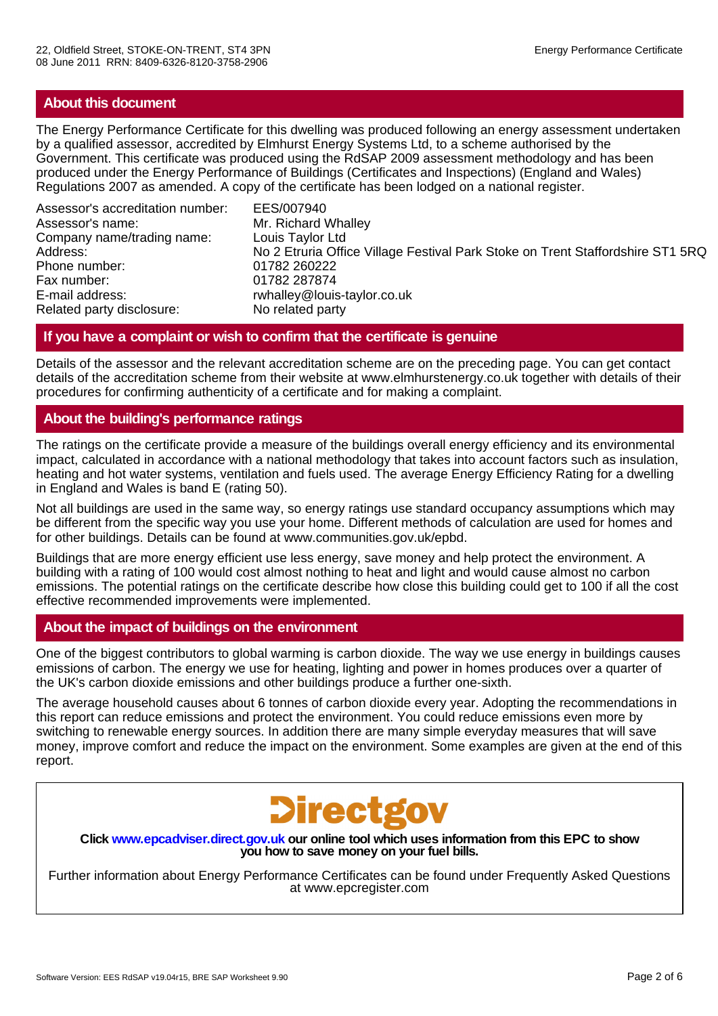# **About this document**

The Energy Performance Certificate for this dwelling was produced following an energy assessment undertaken by a qualified assessor, accredited by Elmhurst Energy Systems Ltd, to a scheme authorised by the Government. This certificate was produced using the RdSAP 2009 assessment methodology and has been produced under the Energy Performance of Buildings (Certificates and Inspections) (England and Wales) Regulations 2007 as amended. A copy of the certificate has been lodged on a national register.

Assessor's accreditation number: EES/007940 Assessor's name: Mr. Richard Whalley Company name/trading name: Louis Taylor Ltd Phone number: 01782 260222 Fax number: 01782 287874 E-mail address: rwhalley@louis-taylor.co.uk<br>Related party disclosure: No related party Related party disclosure:

No 2 Etruria Office Village Festival Park Stoke on Trent Staffordshire ST1 5RQ

# **If you have a complaint or wish to confirm that the certificate is genuine**

Details of the assessor and the relevant accreditation scheme are on the preceding page. You can get contact details of the accreditation scheme from their website at www.elmhurstenergy.co.uk together with details of their procedures for confirming authenticity of a certificate and for making a complaint.

# **About the building's performance ratings**

The ratings on the certificate provide a measure of the buildings overall energy efficiency and its environmental impact, calculated in accordance with a national methodology that takes into account factors such as insulation, heating and hot water systems, ventilation and fuels used. The average Energy Efficiency Rating for a dwelling in England and Wales is band E (rating 50).

Not all buildings are used in the same way, so energy ratings use standard occupancy assumptions which may be different from the specific way you use your home. Different methods of calculation are used for homes and for other buildings. Details can be found at www.communities.gov.uk/epbd.

Buildings that are more energy efficient use less energy, save money and help protect the environment. A building with a rating of 100 would cost almost nothing to heat and light and would cause almost no carbon emissions. The potential ratings on the certificate describe how close this building could get to 100 if all the cost effective recommended improvements were implemented.

# **About the impact of buildings on the environment**

One of the biggest contributors to global warming is carbon dioxide. The way we use energy in buildings causes emissions of carbon. The energy we use for heating, lighting and power in homes produces over a quarter of the UK's carbon dioxide emissions and other buildings produce a further one-sixth.

The average household causes about 6 tonnes of carbon dioxide every year. Adopting the recommendations in this report can reduce emissions and protect the environment. You could reduce emissions even more by switching to renewable energy sources. In addition there are many simple everyday measures that will save money, improve comfort and reduce the impact on the environment. Some examples are given at the end of this report.



**Click www.epcadviser.direct.gov.uk our online tool which uses information from this EPC to show you how to save money on your fuel bills.**

Further information about Energy Performance Certificates can be found under Frequently Asked Questions at www.epcregister.com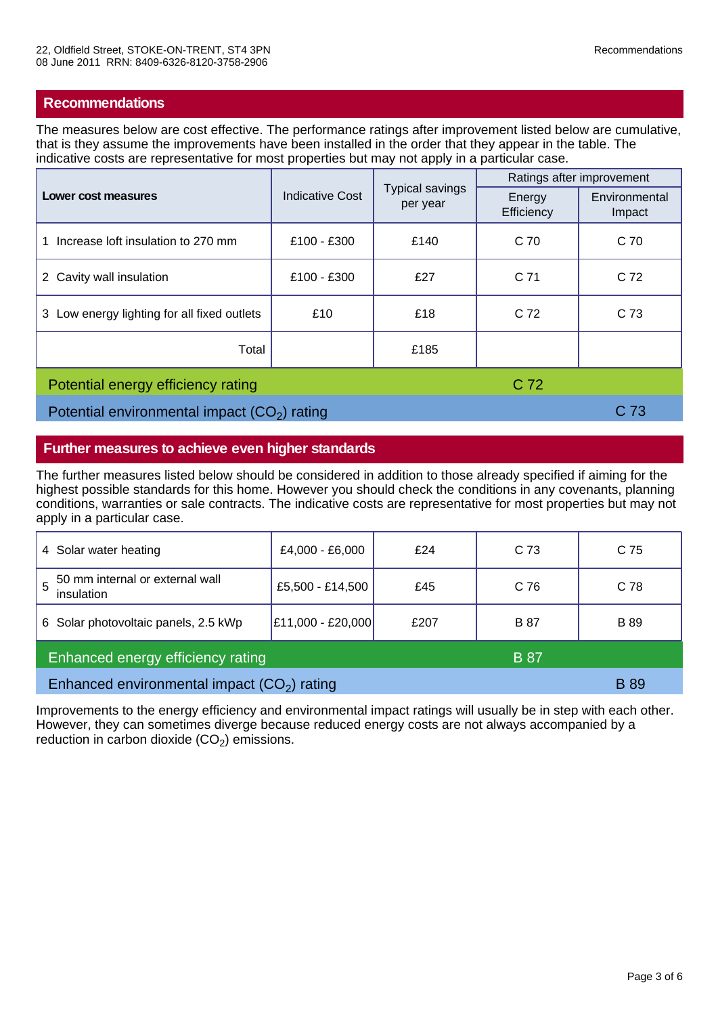# **Recommendations**

The measures below are cost effective. The performance ratings after improvement listed below are cumulative, that is they assume the improvements have been installed in the order that they appear in the table. The indicative costs are representative for most properties but may not apply in a particular case.

| Lower cost measures                           | <b>Indicative Cost</b> | <b>Typical savings</b><br>per year | Ratings after improvement |                         |
|-----------------------------------------------|------------------------|------------------------------------|---------------------------|-------------------------|
|                                               |                        |                                    | Energy<br>Efficiency      | Environmental<br>Impact |
| Increase loft insulation to 270 mm            | £100 - £300            | £140                               | C <sub>70</sub>           | C <sub>70</sub>         |
| 2 Cavity wall insulation                      | £100 - £300            | £27                                | C 71                      | C <sub>72</sub>         |
| 3 Low energy lighting for all fixed outlets   | £10                    | £18                                | C 72                      | C 73                    |
| Total                                         |                        | £185                               |                           |                         |
| C 72<br>Potential energy efficiency rating    |                        |                                    |                           |                         |
| Potential environmental impact $(CO2)$ rating |                        |                                    | C 73                      |                         |

# **Further measures to achieve even higher standards**

The further measures listed below should be considered in addition to those already specified if aiming for the highest possible standards for this home. However you should check the conditions in any covenants, planning conditions, warranties or sale contracts. The indicative costs are representative for most properties but may not apply in a particular case.

| 4 Solar water heating                            | £4,000 - £6,000   | £24  | C <sub>73</sub> | C 75        |
|--------------------------------------------------|-------------------|------|-----------------|-------------|
| 50 mm internal or external wall<br>insulation    | £5,500 - £14,500  | £45  | C 76            | C 78        |
| 6 Solar photovoltaic panels, 2.5 kWp             | £11,000 - £20,000 | £207 | <b>B</b> 87     | <b>B</b> 89 |
| Enhanced energy efficiency rating<br><b>B</b> 87 |                   |      |                 |             |
| Enhanced environmental impact $(CO2)$ rating     |                   |      |                 | <b>B</b> 89 |

Improvements to the energy efficiency and environmental impact ratings will usually be in step with each other. However, they can sometimes diverge because reduced energy costs are not always accompanied by a reduction in carbon dioxide  $(CO_2)$  emissions.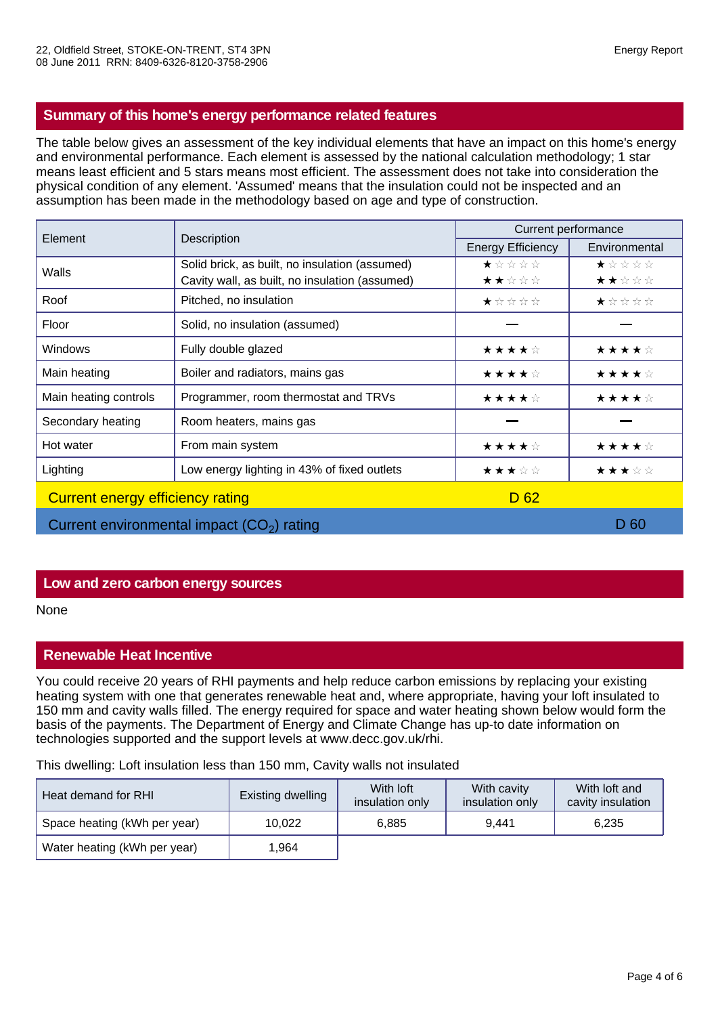# **Summary of this home's energy performance related features**

The table below gives an assessment of the key individual elements that have an impact on this home's energy and environmental performance. Each element is assessed by the national calculation methodology; 1 star means least efficient and 5 stars means most efficient. The assessment does not take into consideration the physical condition of any element. 'Assumed' means that the insulation could not be inspected and an assumption has been made in the methodology based on age and type of construction.

| Element                          |                                                | Current performance      |               |  |
|----------------------------------|------------------------------------------------|--------------------------|---------------|--|
|                                  | Description                                    | <b>Energy Efficiency</b> | Environmental |  |
| Walls                            | Solid brick, as built, no insulation (assumed) | ★☆☆☆☆                    | ★☆☆☆☆         |  |
|                                  | Cavity wall, as built, no insulation (assumed) | ★★☆☆☆                    | ★★☆☆☆         |  |
| Roof                             | Pitched, no insulation                         | ★☆☆☆☆                    | ★☆☆☆☆         |  |
| Floor                            | Solid, no insulation (assumed)                 |                          |               |  |
| <b>Windows</b>                   | Fully double glazed                            | ★★★★☆                    | ★★★★☆         |  |
| Main heating                     | Boiler and radiators, mains gas                | ★★★★☆                    | ★★★★☆         |  |
| Main heating controls            | Programmer, room thermostat and TRVs           | ★★★★☆                    | ★★★★☆         |  |
| Secondary heating                | Room heaters, mains gas                        |                          |               |  |
| Hot water                        | From main system                               | ★★★★☆                    | ★★★★☆         |  |
| Lighting                         | Low energy lighting in 43% of fixed outlets    | ★★★☆☆                    | ★★★☆☆         |  |
| Current energy efficiency rating |                                                | D <sub>62</sub>          |               |  |
|                                  | Current environmental impact $(CO2)$ rating    |                          | D 60          |  |

# **Low and zero carbon energy sources**

None

# **Renewable Heat Incentive**

You could receive 20 years of RHI payments and help reduce carbon emissions by replacing your existing heating system with one that generates renewable heat and, where appropriate, having your loft insulated to 150 mm and cavity walls filled. The energy required for space and water heating shown below would form the basis of the payments. The Department of Energy and Climate Change has up-to date information on technologies supported and the support levels at www.decc.gov.uk/rhi.

This dwelling: Loft insulation less than 150 mm, Cavity walls not insulated

| Heat demand for RHI          | Existing dwelling | With loft<br>insulation only | With cavity<br>insulation only | With loft and<br>cavity insulation |
|------------------------------|-------------------|------------------------------|--------------------------------|------------------------------------|
| Space heating (kWh per year) | 10.022            | 6,885                        | 9.441                          | 6,235                              |
| Water heating (kWh per year) | 964. ا            |                              |                                |                                    |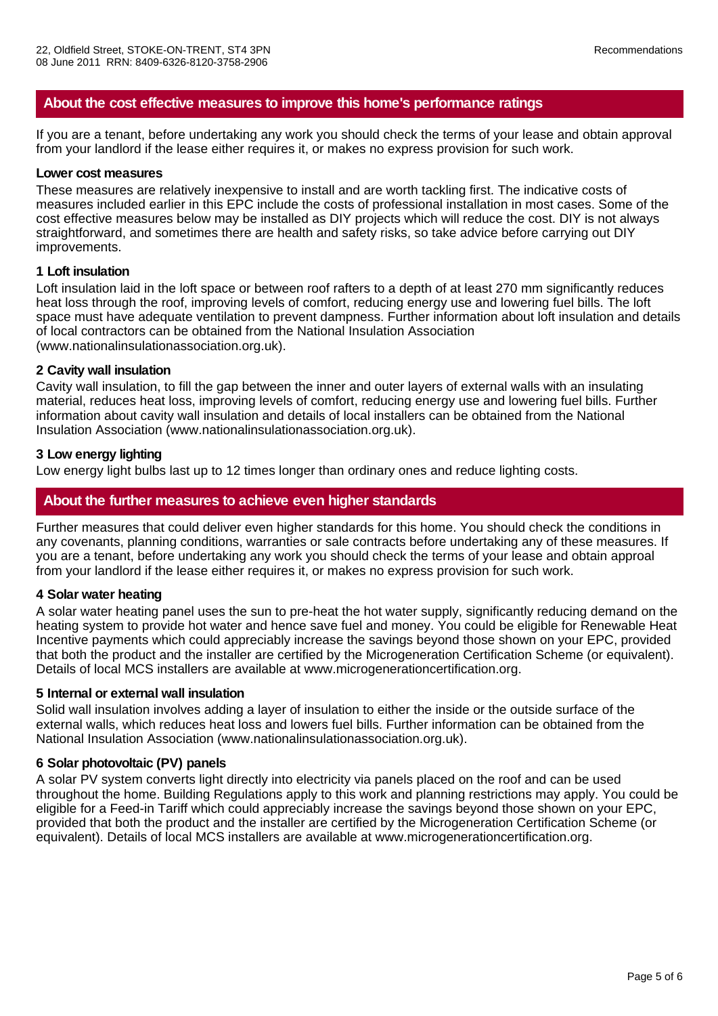## **About the cost effective measures to improve this home's performance ratings**

If you are a tenant, before undertaking any work you should check the terms of your lease and obtain approval from your landlord if the lease either requires it, or makes no express provision for such work.

#### **Lower cost measures**

These measures are relatively inexpensive to install and are worth tackling first. The indicative costs of measures included earlier in this EPC include the costs of professional installation in most cases. Some of the cost effective measures below may be installed as DIY projects which will reduce the cost. DIY is not always straightforward, and sometimes there are health and safety risks, so take advice before carrying out DIY improvements.

### **1 Loft insulation**

Loft insulation laid in the loft space or between roof rafters to a depth of at least 270 mm significantly reduces heat loss through the roof, improving levels of comfort, reducing energy use and lowering fuel bills. The loft space must have adequate ventilation to prevent dampness. Further information about loft insulation and details of local contractors can be obtained from the National Insulation Association (www.nationalinsulationassociation.org.uk).

#### **2 Cavity wall insulation**

Cavity wall insulation, to fill the gap between the inner and outer layers of external walls with an insulating material, reduces heat loss, improving levels of comfort, reducing energy use and lowering fuel bills. Further information about cavity wall insulation and details of local installers can be obtained from the National Insulation Association (www.nationalinsulationassociation.org.uk).

#### **3 Low energy lighting**

Low energy light bulbs last up to 12 times longer than ordinary ones and reduce lighting costs.

## **About the further measures to achieve even higher standards**

Further measures that could deliver even higher standards for this home. You should check the conditions in any covenants, planning conditions, warranties or sale contracts before undertaking any of these measures. If you are a tenant, before undertaking any work you should check the terms of your lease and obtain approal from your landlord if the lease either requires it, or makes no express provision for such work.

#### **4 Solar water heating**

A solar water heating panel uses the sun to pre-heat the hot water supply, significantly reducing demand on the heating system to provide hot water and hence save fuel and money. You could be eligible for Renewable Heat Incentive payments which could appreciably increase the savings beyond those shown on your EPC, provided that both the product and the installer are certified by the Microgeneration Certification Scheme (or equivalent). Details of local MCS installers are available at www.microgenerationcertification.org.

#### **5 Internal or external wall insulation**

Solid wall insulation involves adding a layer of insulation to either the inside or the outside surface of the external walls, which reduces heat loss and lowers fuel bills. Further information can be obtained from the National Insulation Association (www.nationalinsulationassociation.org.uk).

### **6 Solar photovoltaic (PV) panels**

A solar PV system converts light directly into electricity via panels placed on the roof and can be used throughout the home. Building Regulations apply to this work and planning restrictions may apply. You could be eligible for a Feed-in Tariff which could appreciably increase the savings beyond those shown on your EPC, provided that both the product and the installer are certified by the Microgeneration Certification Scheme (or equivalent). Details of local MCS installers are available at www.microgenerationcertification.org.